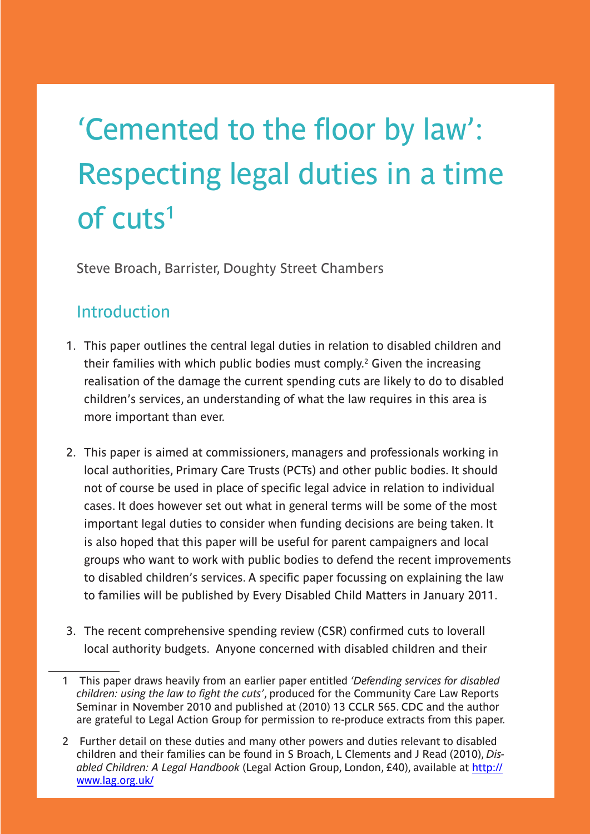# 'Cemented to the floor by law': Respecting legal duties in a time of cuts1

Steve Broach, Barrister, Doughty Street Chambers

# Introduction

- 1. This paper outlines the central legal duties in relation to disabled children and their families with which public bodies must comply.<sup>2</sup> Given the increasing realisation of the damage the current spending cuts are likely to do to disabled children's services, an understanding of what the law requires in this area is more important than ever.
- 2. This paper is aimed at commissioners, managers and professionals working in local authorities, Primary Care Trusts (PCTs) and other public bodies. It should not of course be used in place of specific legal advice in relation to individual cases. It does however set out what in general terms will be some of the most important legal duties to consider when funding decisions are being taken. It is also hoped that this paper will be useful for parent campaigners and local groups who want to work with public bodies to defend the recent improvements to disabled children's services. A specific paper focussing on explaining the law to families will be published by Every Disabled Child Matters in January 2011.
- 3. The recent comprehensive spending review (CSR) confirmed cuts to loverall local authority budgets. Anyone concerned with disabled children and their

<sup>1</sup> This paper draws heavily from an earlier paper entitled *'Defending services for disabled children: using the law to fight the cuts'*, produced for the Community Care Law Reports Seminar in November 2010 and published at (2010) 13 CCLR 565. CDC and the author are grateful to Legal Action Group for permission to re-produce extracts from this paper.

<sup>2</sup> Further detail on these duties and many other powers and duties relevant to disabled children and their families can be found in S Broach, L Clements and J Read (2010), *Disabled Children: A Legal Handbook* (Legal Action Group, London, £40), available at [http://](http://www.lag.org.uk/) [www.lag.org.uk/](http://www.lag.org.uk/)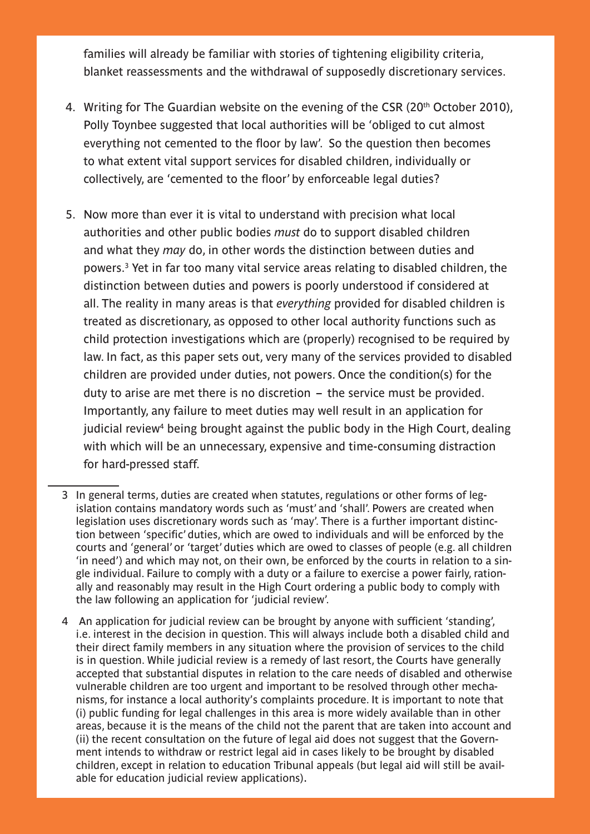families will already be familiar with stories of tightening eligibility criteria, blanket reassessments and the withdrawal of supposedly discretionary services.

- 4. Writing for The Guardian website on the evening of the CSR (20<sup>th</sup> October 2010), Polly Toynbee suggested that local authorities will be 'obliged to cut almost everything not cemented to the floor by law'. So the question then becomes to what extent vital support services for disabled children, individually or collectively, are 'cemented to the floor' by enforceable legal duties?
- 5. Now more than ever it is vital to understand with precision what local authorities and other public bodies *must* do to support disabled children and what they *may* do, in other words the distinction between duties and powers.3 Yet in far too many vital service areas relating to disabled children, the distinction between duties and powers is poorly understood if considered at all. The reality in many areas is that *everything* provided for disabled children is treated as discretionary, as opposed to other local authority functions such as child protection investigations which are (properly) recognised to be required by law. In fact, as this paper sets out, very many of the services provided to disabled children are provided under duties, not powers. Once the condition(s) for the duty to arise are met there is no discretion – the service must be provided. Importantly, any failure to meet duties may well result in an application for judicial review<sup>4</sup> being brought against the public body in the High Court, dealing with which will be an unnecessary, expensive and time-consuming distraction for hard-pressed staff.
- 3 In general terms, duties are created when statutes, regulations or other forms of legislation contains mandatory words such as 'must' and 'shall'. Powers are created when legislation uses discretionary words such as 'may'. There is a further important distinction between 'specific' duties, which are owed to individuals and will be enforced by the courts and 'general' or 'target' duties which are owed to classes of people (e.g. all children 'in need') and which may not, on their own, be enforced by the courts in relation to a single individual. Failure to comply with a duty or a failure to exercise a power fairly, rationally and reasonably may result in the High Court ordering a public body to comply with the law following an application for 'judicial review'.
- 4 An application for judicial review can be brought by anyone with sufficient 'standing', i.e. interest in the decision in question. This will always include both a disabled child and their direct family members in any situation where the provision of services to the child is in question. While judicial review is a remedy of last resort, the Courts have generally accepted that substantial disputes in relation to the care needs of disabled and otherwise vulnerable children are too urgent and important to be resolved through other mechanisms, for instance a local authority's complaints procedure. It is important to note that (i) public funding for legal challenges in this area is more widely available than in other areas, because it is the means of the child not the parent that are taken into account and (ii) the recent consultation on the future of legal aid does not suggest that the Government intends to withdraw or restrict legal aid in cases likely to be brought by disabled children, except in relation to education Tribunal appeals (but legal aid will still be available for education judicial review applications).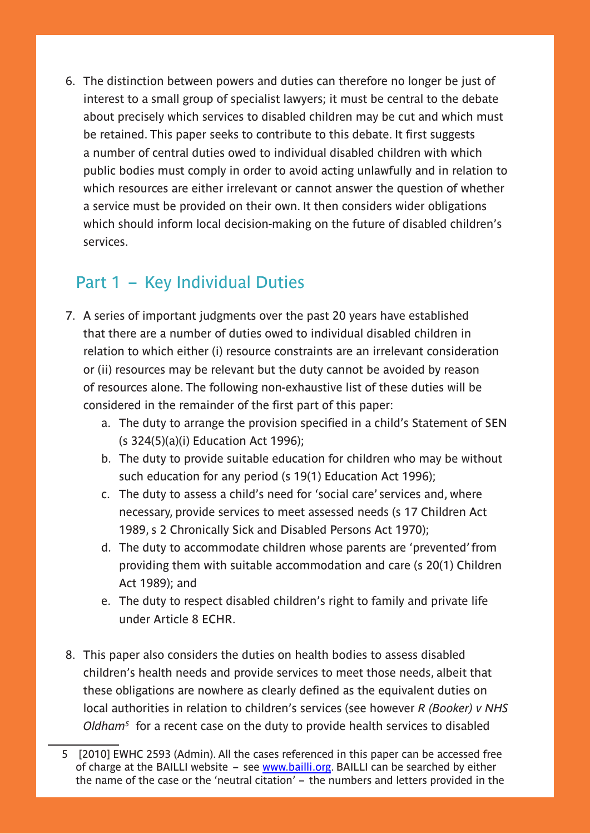6. The distinction between powers and duties can therefore no longer be just of interest to a small group of specialist lawyers; it must be central to the debate about precisely which services to disabled children may be cut and which must be retained. This paper seeks to contribute to this debate. It first suggests a number of central duties owed to individual disabled children with which public bodies must comply in order to avoid acting unlawfully and in relation to which resources are either irrelevant or cannot answer the question of whether a service must be provided on their own. It then considers wider obligations which should inform local decision-making on the future of disabled children's services.

# Part 1 – Key Individual Duties

- 7. A series of important judgments over the past 20 years have established that there are a number of duties owed to individual disabled children in relation to which either (i) resource constraints are an irrelevant consideration or (ii) resources may be relevant but the duty cannot be avoided by reason of resources alone. The following non-exhaustive list of these duties will be considered in the remainder of the first part of this paper:
	- a. The duty to arrange the provision specified in a child's Statement of SEN (s 324(5)(a)(i) Education Act 1996);
	- b. The duty to provide suitable education for children who may be without such education for any period (s 19(1) Education Act 1996);
	- c. The duty to assess a child's need for 'social care' services and, where necessary, provide services to meet assessed needs (s 17 Children Act 1989, s 2 Chronically Sick and Disabled Persons Act 1970);
	- d. The duty to accommodate children whose parents are 'prevented' from providing them with suitable accommodation and care (s 20(1) Children Act 1989); and
	- e. The duty to respect disabled children's right to family and private life under Article 8 ECHR.
- 8. This paper also considers the duties on health bodies to assess disabled children's health needs and provide services to meet those needs, albeit that these obligations are nowhere as clearly defined as the equivalent duties on local authorities in relation to children's services (see however *R (Booker) v NHS Oldham5* for a recent case on the duty to provide health services to disabled

<sup>5 [2010]</sup> EWHC 2593 (Admin). All the cases referenced in this paper can be accessed free of charge at the BAILLI website  $-$  see [www.bailli.org](http://www.bailli.org). BAILLI can be searched by either the name of the case or the 'neutral citation' – the numbers and letters provided in the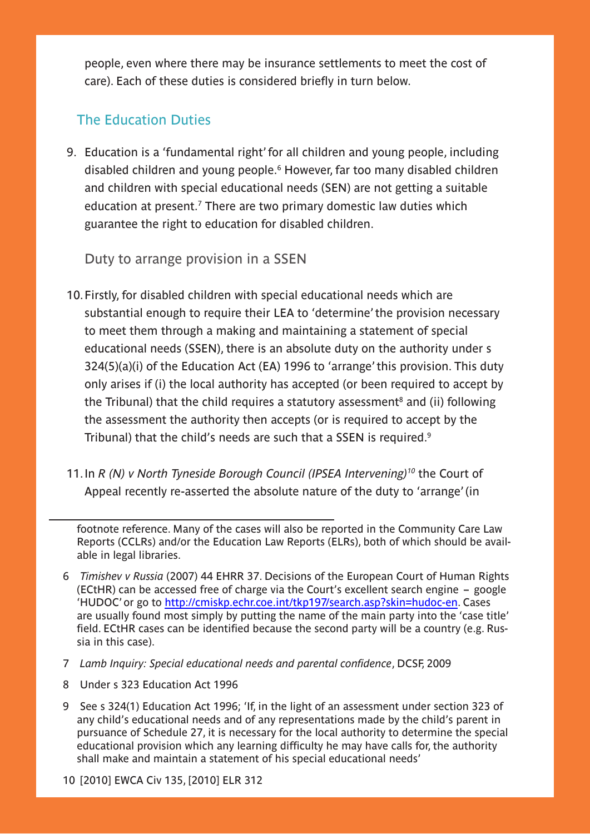people, even where there may be insurance settlements to meet the cost of care). Each of these duties is considered briefly in turn below.

## The Education Duties

9. Education is a 'fundamental right' for all children and young people, including disabled children and young people.6 However, far too many disabled children and children with special educational needs (SEN) are not getting a suitable education at present.<sup>7</sup> There are two primary domestic law duties which guarantee the right to education for disabled children.

Duty to arrange provision in a SSEN

- 10.Firstly, for disabled children with special educational needs which are substantial enough to require their LEA to 'determine' the provision necessary to meet them through a making and maintaining a statement of special educational needs (SSEN), there is an absolute duty on the authority under s 324(5)(a)(i) of the Education Act (EA) 1996 to 'arrange' this provision. This duty only arises if (i) the local authority has accepted (or been required to accept by the Tribunal) that the child requires a statutory assessment<sup>8</sup> and (ii) following the assessment the authority then accepts (or is required to accept by the Tribunal) that the child's needs are such that a SSEN is required.<sup>9</sup>
- 11.In *R (N) v North Tyneside Borough Council (IPSEA Intervening)10* the Court of Appeal recently re-asserted the absolute nature of the duty to 'arrange' (in

footnote reference. Many of the cases will also be reported in the Community Care Law Reports (CCLRs) and/or the Education Law Reports (ELRs), both of which should be available in legal libraries.

- 6 *Timishev v Russia* (2007) 44 EHRR 37. Decisions of the European Court of Human Rights (ECtHR) can be accessed free of charge via the Court's excellent search engine – google 'HUDOC' or go to<http://cmiskp.echr.coe.int/tkp197/search.asp?skin=hudoc-en>. Cases are usually found most simply by putting the name of the main party into the 'case title' field. ECtHR cases can be identified because the second party will be a country (e.g. Russia in this case).
- 7 *Lamb Inquiry: Special educational needs and parental confidence*, DCSF, 2009
- 8 Under s 323 Education Act 1996
- 9 See s 324(1) Education Act 1996; 'If, in the light of an assessment under section 323 of any child's educational needs and of any representations made by the child's parent in pursuance of Schedule 27, it is necessary for the local authority to determine the special educational provision which any learning difficulty he may have calls for, the authority shall make and maintain a statement of his special educational needs'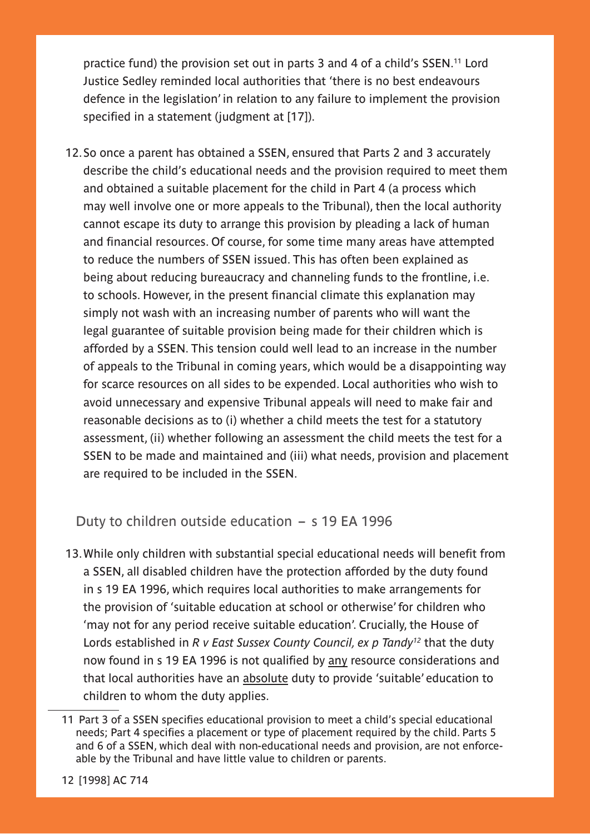practice fund) the provision set out in parts 3 and 4 of a child's SSEN.11 Lord Justice Sedley reminded local authorities that 'there is no best endeavours defence in the legislation' in relation to any failure to implement the provision specified in a statement (judgment at [17]).

12.So once a parent has obtained a SSEN, ensured that Parts 2 and 3 accurately describe the child's educational needs and the provision required to meet them and obtained a suitable placement for the child in Part 4 (a process which may well involve one or more appeals to the Tribunal), then the local authority cannot escape its duty to arrange this provision by pleading a lack of human and financial resources. Of course, for some time many areas have attempted to reduce the numbers of SSEN issued. This has often been explained as being about reducing bureaucracy and channeling funds to the frontline, i.e. to schools. However, in the present financial climate this explanation may simply not wash with an increasing number of parents who will want the legal guarantee of suitable provision being made for their children which is afforded by a SSEN. This tension could well lead to an increase in the number of appeals to the Tribunal in coming years, which would be a disappointing way for scarce resources on all sides to be expended. Local authorities who wish to avoid unnecessary and expensive Tribunal appeals will need to make fair and reasonable decisions as to (i) whether a child meets the test for a statutory assessment, (ii) whether following an assessment the child meets the test for a SSEN to be made and maintained and (iii) what needs, provision and placement are required to be included in the SSEN.

Duty to children outside education – s 19 EA 1996

13.While only children with substantial special educational needs will benefit from a SSEN, all disabled children have the protection afforded by the duty found in s 19 EA 1996, which requires local authorities to make arrangements for the provision of 'suitable education at school or otherwise' for children who 'may not for any period receive suitable education'. Crucially, the House of Lords established in *R v East Sussex County Council, ex p Tandy12* that the duty now found in s 19 EA 1996 is not qualified by any resource considerations and that local authorities have an absolute duty to provide 'suitable' education to children to whom the duty applies.

<sup>11</sup> Part 3 of a SSEN specifies educational provision to meet a child's special educational needs; Part 4 specifies a placement or type of placement required by the child. Parts 5 and 6 of a SSEN, which deal with non-educational needs and provision, are not enforceable by the Tribunal and have little value to children or parents.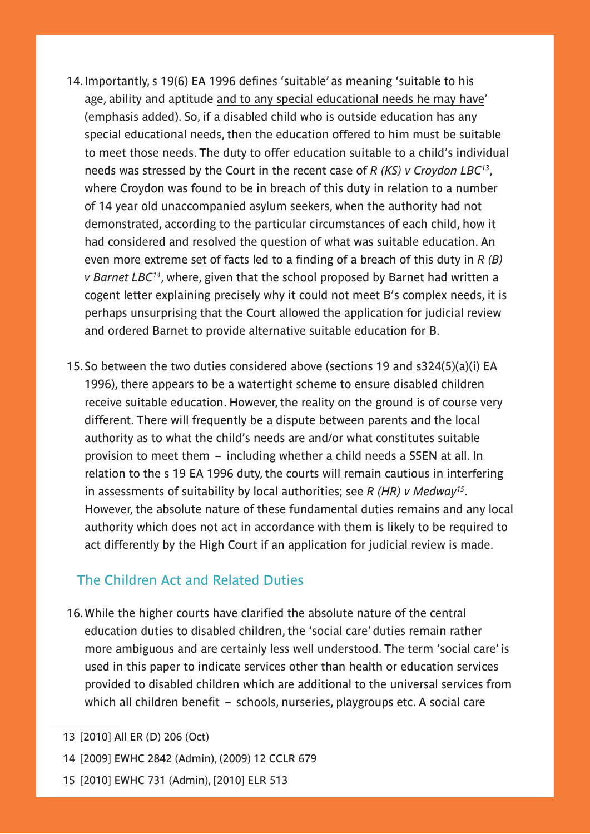- 14.Importantly, s 19(6) EA 1996 defines 'suitable' as meaning 'suitable to his age, ability and aptitude and to any special educational needs he may have' (emphasis added). So, if a disabled child who is outside education has any special educational needs, then the education offered to him must be suitable to meet those needs. The duty to offer education suitable to a child's individual needs was stressed by the Court in the recent case of *R (KS) v Croydon LBC13*, where Croydon was found to be in breach of this duty in relation to a number of 14 year old unaccompanied asylum seekers, when the authority had not demonstrated, according to the particular circumstances of each child, how it had considered and resolved the question of what was suitable education. An even more extreme set of facts led to a finding of a breach of this duty in *R (B) v Barnet LBC14*, where, given that the school proposed by Barnet had written a cogent letter explaining precisely why it could not meet B's complex needs, it is perhaps unsurprising that the Court allowed the application for judicial review and ordered Barnet to provide alternative suitable education for B.
- 15.So between the two duties considered above (sections 19 and s324(5)(a)(i) EA 1996), there appears to be a watertight scheme to ensure disabled children receive suitable education. However, the reality on the ground is of course very different. There will frequently be a dispute between parents and the local authority as to what the child's needs are and/or what constitutes suitable provision to meet them – including whether a child needs a SSEN at all. In relation to the s 19 EA 1996 duty, the courts will remain cautious in interfering in assessments of suitability by local authorities; see *R (HR) v Medway15*. However, the absolute nature of these fundamental duties remains and any local authority which does not act in accordance with them is likely to be required to act differently by the High Court if an application for judicial review is made.

### The Children Act and Related Duties

16.While the higher courts have clarified the absolute nature of the central education duties to disabled children, the 'social care' duties remain rather more ambiguous and are certainly less well understood. The term 'social care' is used in this paper to indicate services other than health or education services provided to disabled children which are additional to the universal services from which all children benefit – schools, nurseries, playgroups etc. A social care

15 [2010] EWHC 731 (Admin), [2010] ELR 513

<sup>13 [2010]</sup> All ER (D) 206 (Oct)

<sup>14 [2009]</sup> EWHC 2842 (Admin), (2009) 12 CCLR 679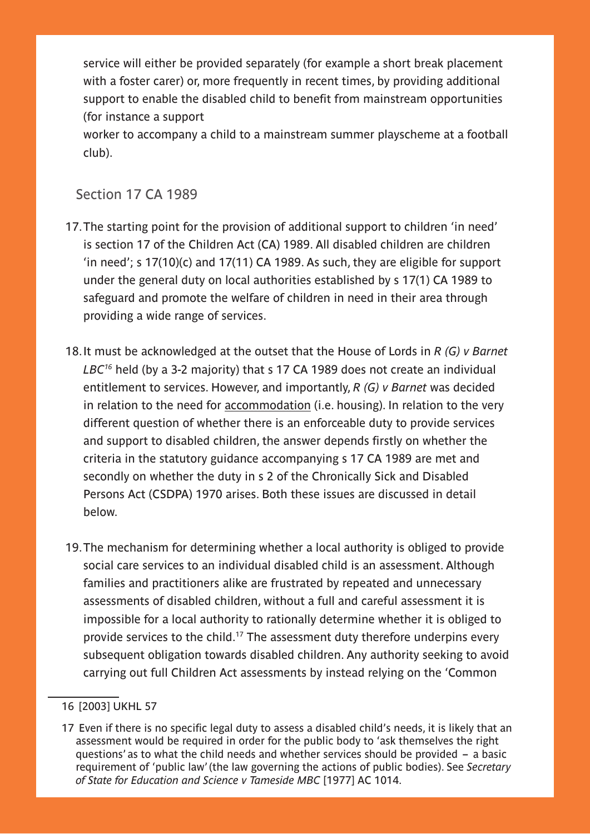service will either be provided separately (for example a short break placement with a foster carer) or, more frequently in recent times, by providing additional support to enable the disabled child to benefit from mainstream opportunities (for instance a support

worker to accompany a child to a mainstream summer playscheme at a football club).

#### Section 17 CA 1989

- 17.The starting point for the provision of additional support to children 'in need' is section 17 of the Children Act (CA) 1989. All disabled children are children 'in need'; s 17(10)(c) and 17(11) CA 1989. As such, they are eligible for support under the general duty on local authorities established by s 17(1) CA 1989 to safeguard and promote the welfare of children in need in their area through providing a wide range of services.
- 18.It must be acknowledged at the outset that the House of Lords in *R (G) v Barnet LBC16* held (by a 3-2 majority) that s 17 CA 1989 does not create an individual entitlement to services. However, and importantly, *R (G) v Barnet* was decided in relation to the need for accommodation (i.e. housing). In relation to the very different question of whether there is an enforceable duty to provide services and support to disabled children, the answer depends firstly on whether the criteria in the statutory guidance accompanying s 17 CA 1989 are met and secondly on whether the duty in s 2 of the Chronically Sick and Disabled Persons Act (CSDPA) 1970 arises. Both these issues are discussed in detail below.
- 19.The mechanism for determining whether a local authority is obliged to provide social care services to an individual disabled child is an assessment. Although families and practitioners alike are frustrated by repeated and unnecessary assessments of disabled children, without a full and careful assessment it is impossible for a local authority to rationally determine whether it is obliged to provide services to the child.17 The assessment duty therefore underpins every subsequent obligation towards disabled children. Any authority seeking to avoid carrying out full Children Act assessments by instead relying on the 'Common

<sup>16 [2003]</sup> UKHL 57

<sup>17</sup> Even if there is no specific legal duty to assess a disabled child's needs, it is likely that an assessment would be required in order for the public body to 'ask themselves the right questions' as to what the child needs and whether services should be provided – a basic requirement of 'public law' (the law governing the actions of public bodies). See *Secretary of State for Education and Science v Tameside MBC* [1977] AC 1014.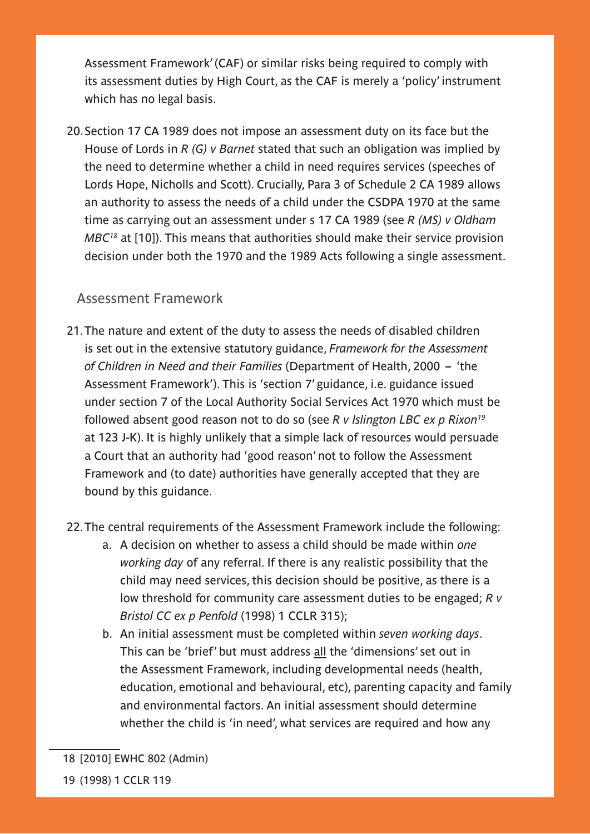Assessment Framework' (CAF) or similar risks being required to comply with its assessment duties by High Court, as the CAF is merely a 'policy' instrument which has no legal basis.

20.Section 17 CA 1989 does not impose an assessment duty on its face but the House of Lords in *R (G) v Barnet* stated that such an obligation was implied by the need to determine whether a child in need requires services (speeches of Lords Hope, Nicholls and Scott). Crucially, Para 3 of Schedule 2 CA 1989 allows an authority to assess the needs of a child under the CSDPA 1970 at the same time as carrying out an assessment under s 17 CA 1989 (see *R (MS) v Oldham MBC18* at [10]). This means that authorities should make their service provision decision under both the 1970 and the 1989 Acts following a single assessment.

#### Assessment Framework

21.The nature and extent of the duty to assess the needs of disabled children is set out in the extensive statutory guidance, *Framework for the Assessment of Children in Need and their Families* (Department of Health, 2000 – 'the Assessment Framework'). This is 'section 7' guidance, i.e. guidance issued under section 7 of the Local Authority Social Services Act 1970 which must be followed absent good reason not to do so (see *R v Islington LBC ex p Rixon19* at 123 J-K). It is highly unlikely that a simple lack of resources would persuade a Court that an authority had 'good reason' not to follow the Assessment Framework and (to date) authorities have generally accepted that they are bound by this guidance.

#### 22.The central requirements of the Assessment Framework include the following:

- a. A decision on whether to assess a child should be made within *one working day* of any referral. If there is any realistic possibility that the child may need services, this decision should be positive, as there is a low threshold for community care assessment duties to be engaged; *R v Bristol CC ex p Penfold* (1998) 1 CCLR 315);
- b. An initial assessment must be completed within *seven working days*. This can be 'brief' but must address all the 'dimensions' set out in the Assessment Framework, including developmental needs (health, education, emotional and behavioural, etc), parenting capacity and family and environmental factors. An initial assessment should determine whether the child is 'in need', what services are required and how any

<sup>18 [2010]</sup> EWHC 802 (Admin)

<sup>19 (1998) 1</sup> CCLR 119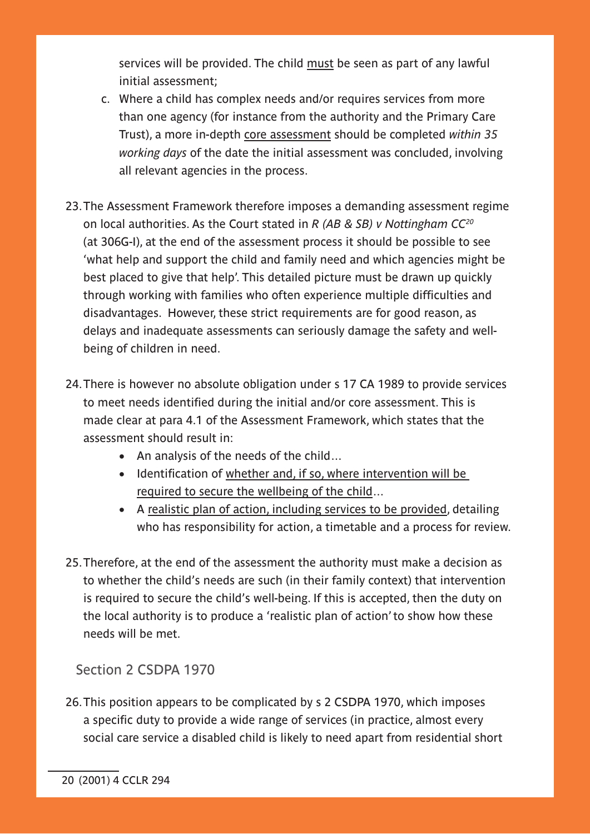services will be provided. The child must be seen as part of any lawful initial assessment;

- c. Where a child has complex needs and/or requires services from more than one agency (for instance from the authority and the Primary Care Trust), a more in-depth core assessment should be completed *within 35 working days* of the date the initial assessment was concluded, involving all relevant agencies in the process.
- 23.The Assessment Framework therefore imposes a demanding assessment regime on local authorities. As the Court stated in *R (AB & SB) v Nottingham CC20* (at 306G-I), at the end of the assessment process it should be possible to see 'what help and support the child and family need and which agencies might be best placed to give that help'. This detailed picture must be drawn up quickly through working with families who often experience multiple difficulties and disadvantages. However, these strict requirements are for good reason, as delays and inadequate assessments can seriously damage the safety and wellbeing of children in need.
- 24.There is however no absolute obligation under s 17 CA 1989 to provide services to meet needs identified during the initial and/or core assessment. This is made clear at para 4.1 of the Assessment Framework, which states that the assessment should result in:
	- An analysis of the needs of the child...
	- Identification of whether and, if so, where intervention will be required to secure the wellbeing of the child…
	- A realistic plan of action, including services to be provided, detailing who has responsibility for action, a timetable and a process for review.
- 25.Therefore, at the end of the assessment the authority must make a decision as to whether the child's needs are such (in their family context) that intervention is required to secure the child's well-being. If this is accepted, then the duty on the local authority is to produce a 'realistic plan of action' to show how these needs will be met.

Section 2 CSDPA 1970

26.This position appears to be complicated by s 2 CSDPA 1970, which imposes a specific duty to provide a wide range of services (in practice, almost every social care service a disabled child is likely to need apart from residential short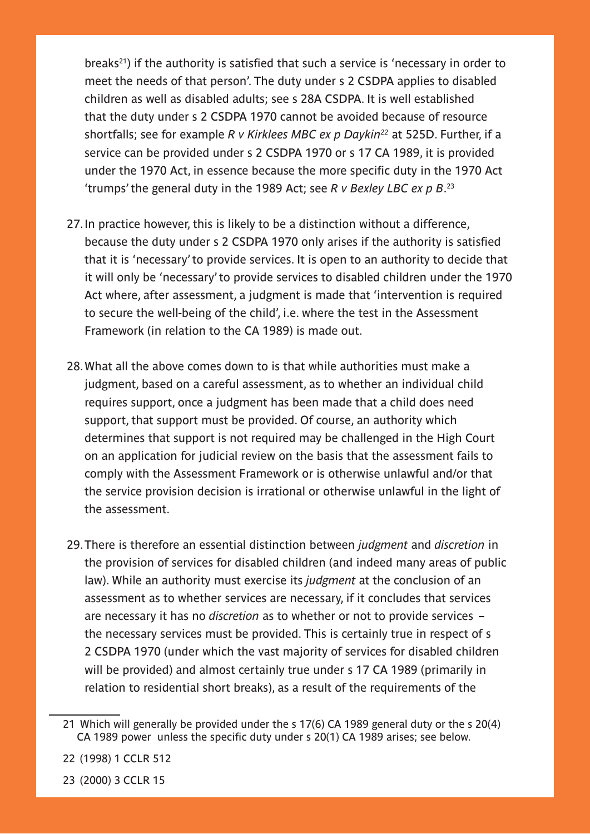breaks<sup>21</sup>) if the authority is satisfied that such a service is 'necessary in order to meet the needs of that person'. The duty under s 2 CSDPA applies to disabled children as well as disabled adults; see s 28A CSDPA. It is well established that the duty under s 2 CSDPA 1970 cannot be avoided because of resource shortfalls; see for example *R v Kirklees MBC ex p Daykin22* at 525D. Further, if a service can be provided under s 2 CSDPA 1970 or s 17 CA 1989, it is provided under the 1970 Act, in essence because the more specific duty in the 1970 Act 'trumps' the general duty in the 1989 Act; see *R v Bexley LBC ex p B*. 23

- 27.In practice however, this is likely to be a distinction without a difference, because the duty under s 2 CSDPA 1970 only arises if the authority is satisfied that it is 'necessary' to provide services. It is open to an authority to decide that it will only be 'necessary' to provide services to disabled children under the 1970 Act where, after assessment, a judgment is made that 'intervention is required to secure the well-being of the child', i.e. where the test in the Assessment Framework (in relation to the CA 1989) is made out.
- 28.What all the above comes down to is that while authorities must make a judgment, based on a careful assessment, as to whether an individual child requires support, once a judgment has been made that a child does need support, that support must be provided. Of course, an authority which determines that support is not required may be challenged in the High Court on an application for judicial review on the basis that the assessment fails to comply with the Assessment Framework or is otherwise unlawful and/or that the service provision decision is irrational or otherwise unlawful in the light of the assessment.
- 29.There is therefore an essential distinction between *judgment* and *discretion* in the provision of services for disabled children (and indeed many areas of public law). While an authority must exercise its *judgment* at the conclusion of an assessment as to whether services are necessary, if it concludes that services are necessary it has no *discretion* as to whether or not to provide services – the necessary services must be provided. This is certainly true in respect of s 2 CSDPA 1970 (under which the vast majority of services for disabled children will be provided) and almost certainly true under s 17 CA 1989 (primarily in relation to residential short breaks), as a result of the requirements of the

- 22 (1998) 1 CCLR 512
- 23 (2000) 3 CCLR 15

<sup>21</sup> Which will generally be provided under the s 17(6) CA 1989 general duty or the s 20(4) CA 1989 power unless the specific duty under s 20(1) CA 1989 arises; see below.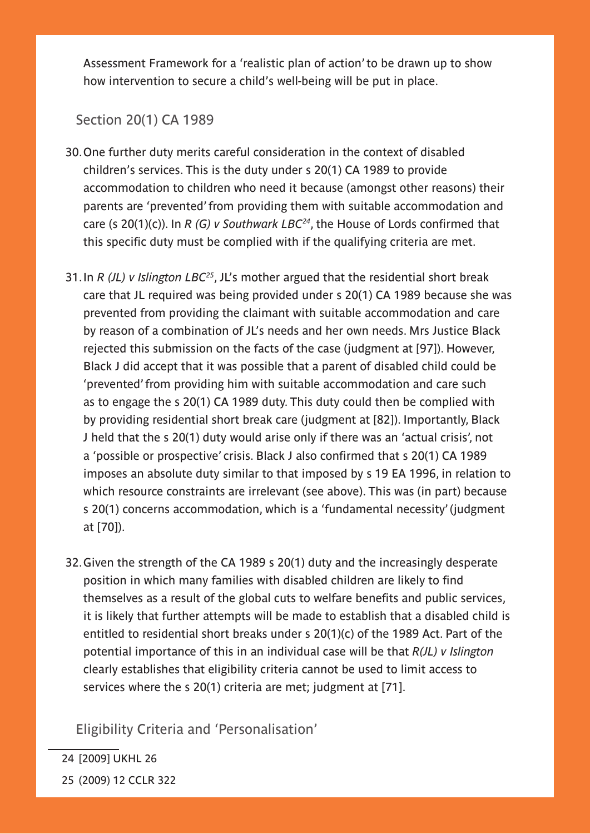Assessment Framework for a 'realistic plan of action' to be drawn up to show how intervention to secure a child's well-being will be put in place.

#### Section 20(1) CA 1989

- 30.One further duty merits careful consideration in the context of disabled children's services. This is the duty under s 20(1) CA 1989 to provide accommodation to children who need it because (amongst other reasons) their parents are 'prevented' from providing them with suitable accommodation and care (s 20(1)(c)). In *R (G) v Southwark LBC24*, the House of Lords confirmed that this specific duty must be complied with if the qualifying criteria are met.
- 31.In *R (JL) v Islington LBC25*, JL's mother argued that the residential short break care that JL required was being provided under s 20(1) CA 1989 because she was prevented from providing the claimant with suitable accommodation and care by reason of a combination of JL's needs and her own needs. Mrs Justice Black rejected this submission on the facts of the case (judgment at [97]). However, Black J did accept that it was possible that a parent of disabled child could be 'prevented' from providing him with suitable accommodation and care such as to engage the s 20(1) CA 1989 duty. This duty could then be complied with by providing residential short break care (judgment at [82]). Importantly, Black J held that the s 20(1) duty would arise only if there was an 'actual crisis', not a 'possible or prospective' crisis. Black J also confirmed that s 20(1) CA 1989 imposes an absolute duty similar to that imposed by s 19 EA 1996, in relation to which resource constraints are irrelevant (see above). This was (in part) because s 20(1) concerns accommodation, which is a 'fundamental necessity' (judgment at [70]).
- 32.Given the strength of the CA 1989 s 20(1) duty and the increasingly desperate position in which many families with disabled children are likely to find themselves as a result of the global cuts to welfare benefits and public services, it is likely that further attempts will be made to establish that a disabled child is entitled to residential short breaks under s 20(1)(c) of the 1989 Act. Part of the potential importance of this in an individual case will be that *R(JL) v Islington* clearly establishes that eligibility criteria cannot be used to limit access to services where the s 20(1) criteria are met; judgment at [71].

Eligibility Criteria and 'Personalisation'

24 [2009] UKHL 26 25 (2009) 12 CCLR 322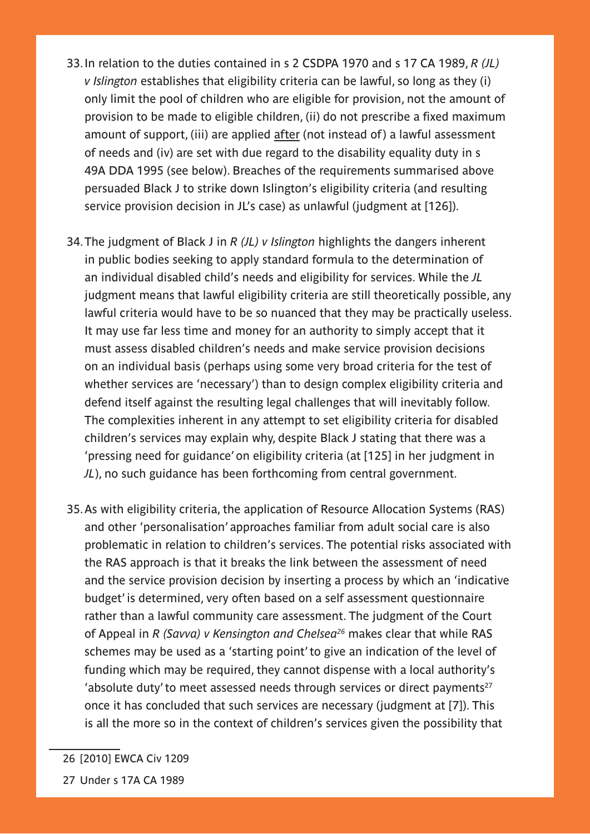- 33.In relation to the duties contained in s 2 CSDPA 1970 and s 17 CA 1989, *R (JL) v Islington* establishes that eligibility criteria can be lawful, so long as they (i) only limit the pool of children who are eligible for provision, not the amount of provision to be made to eligible children, (ii) do not prescribe a fixed maximum amount of support, (iii) are applied after (not instead of) a lawful assessment of needs and (iv) are set with due regard to the disability equality duty in s 49A DDA 1995 (see below). Breaches of the requirements summarised above persuaded Black J to strike down Islington's eligibility criteria (and resulting service provision decision in JL's case) as unlawful (judgment at [126]).
- 34.The judgment of Black J in *R (JL) v Islington* highlights the dangers inherent in public bodies seeking to apply standard formula to the determination of an individual disabled child's needs and eligibility for services. While the *JL* judgment means that lawful eligibility criteria are still theoretically possible, any lawful criteria would have to be so nuanced that they may be practically useless. It may use far less time and money for an authority to simply accept that it must assess disabled children's needs and make service provision decisions on an individual basis (perhaps using some very broad criteria for the test of whether services are 'necessary') than to design complex eligibility criteria and defend itself against the resulting legal challenges that will inevitably follow. The complexities inherent in any attempt to set eligibility criteria for disabled children's services may explain why, despite Black J stating that there was a 'pressing need for guidance' on eligibility criteria (at [125] in her judgment in *JL*), no such guidance has been forthcoming from central government.
- 35.As with eligibility criteria, the application of Resource Allocation Systems (RAS) and other 'personalisation' approaches familiar from adult social care is also problematic in relation to children's services. The potential risks associated with the RAS approach is that it breaks the link between the assessment of need and the service provision decision by inserting a process by which an 'indicative budget' is determined, very often based on a self assessment questionnaire rather than a lawful community care assessment. The judgment of the Court of Appeal in *R (Savva) v Kensington and Chelsea26* makes clear that while RAS schemes may be used as a 'starting point' to give an indication of the level of funding which may be required, they cannot dispense with a local authority's 'absolute duty' to meet assessed needs through services or direct payments<sup>27</sup> once it has concluded that such services are necessary (judgment at [7]). This is all the more so in the context of children's services given the possibility that
- 26 [2010] EWCA Civ 1209
- 27 Under s 17A CA 1989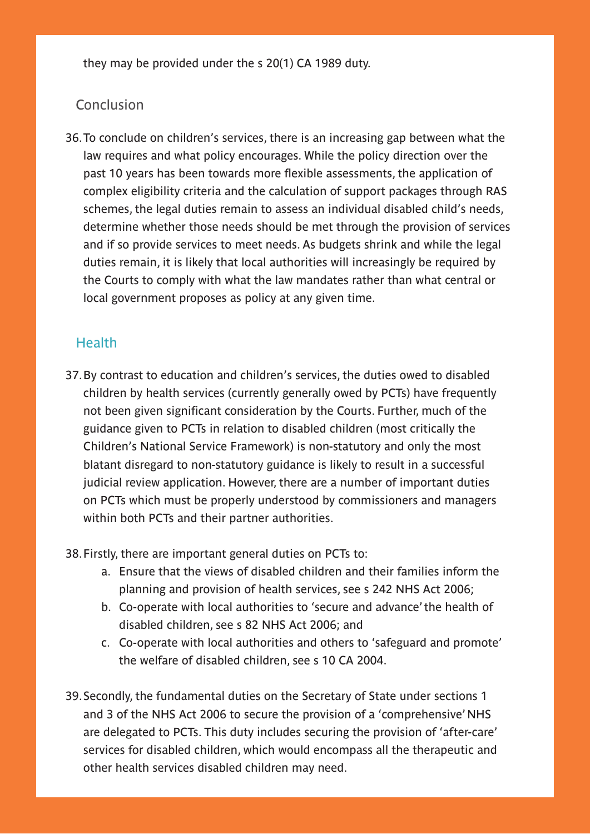they may be provided under the s 20(1) CA 1989 duty.

#### **Conclusion**

36.To conclude on children's services, there is an increasing gap between what the law requires and what policy encourages. While the policy direction over the past 10 years has been towards more flexible assessments, the application of complex eligibility criteria and the calculation of support packages through RAS schemes, the legal duties remain to assess an individual disabled child's needs, determine whether those needs should be met through the provision of services and if so provide services to meet needs. As budgets shrink and while the legal duties remain, it is likely that local authorities will increasingly be required by the Courts to comply with what the law mandates rather than what central or local government proposes as policy at any given time.

#### **Health**

37.By contrast to education and children's services, the duties owed to disabled children by health services (currently generally owed by PCTs) have frequently not been given significant consideration by the Courts. Further, much of the guidance given to PCTs in relation to disabled children (most critically the Children's National Service Framework) is non-statutory and only the most blatant disregard to non-statutory guidance is likely to result in a successful judicial review application. However, there are a number of important duties on PCTs which must be properly understood by commissioners and managers within both PCTs and their partner authorities.

38.Firstly, there are important general duties on PCTs to:

- a. Ensure that the views of disabled children and their families inform the planning and provision of health services, see s 242 NHS Act 2006;
- b. Co-operate with local authorities to 'secure and advance' the health of disabled children, see s 82 NHS Act 2006; and
- c. Co-operate with local authorities and others to 'safeguard and promote' the welfare of disabled children, see s 10 CA 2004.
- 39.Secondly, the fundamental duties on the Secretary of State under sections 1 and 3 of the NHS Act 2006 to secure the provision of a 'comprehensive' NHS are delegated to PCTs. This duty includes securing the provision of 'after-care' services for disabled children, which would encompass all the therapeutic and other health services disabled children may need.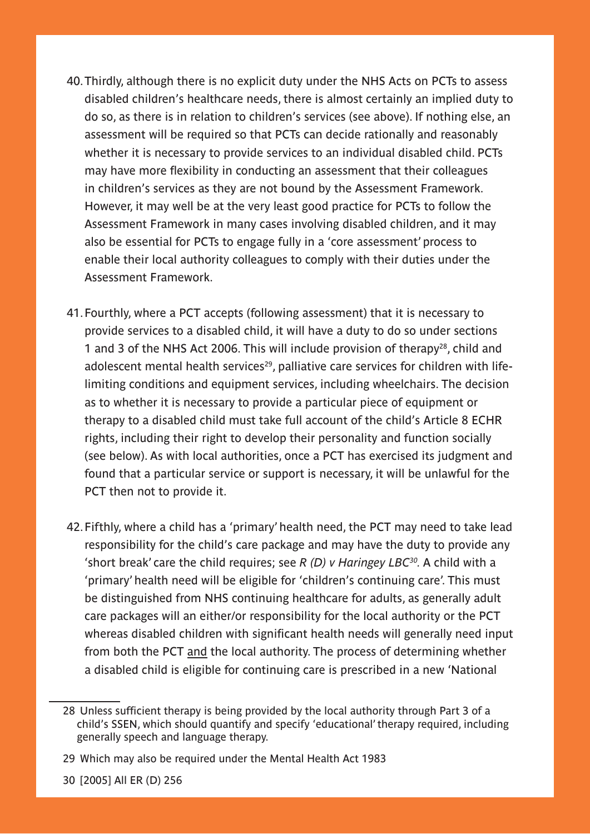- 40.Thirdly, although there is no explicit duty under the NHS Acts on PCTs to assess disabled children's healthcare needs, there is almost certainly an implied duty to do so, as there is in relation to children's services (see above). If nothing else, an assessment will be required so that PCTs can decide rationally and reasonably whether it is necessary to provide services to an individual disabled child. PCTs may have more flexibility in conducting an assessment that their colleagues in children's services as they are not bound by the Assessment Framework. However, it may well be at the very least good practice for PCTs to follow the Assessment Framework in many cases involving disabled children, and it may also be essential for PCTs to engage fully in a 'core assessment' process to enable their local authority colleagues to comply with their duties under the Assessment Framework.
- 41.Fourthly, where a PCT accepts (following assessment) that it is necessary to provide services to a disabled child, it will have a duty to do so under sections 1 and 3 of the NHS Act 2006. This will include provision of therapy<sup>28</sup>, child and adolescent mental health services<sup>29</sup>, palliative care services for children with lifelimiting conditions and equipment services, including wheelchairs. The decision as to whether it is necessary to provide a particular piece of equipment or therapy to a disabled child must take full account of the child's Article 8 ECHR rights, including their right to develop their personality and function socially (see below). As with local authorities, once a PCT has exercised its judgment and found that a particular service or support is necessary, it will be unlawful for the PCT then not to provide it.
- 42.Fifthly, where a child has a 'primary' health need, the PCT may need to take lead responsibility for the child's care package and may have the duty to provide any 'short break' care the child requires; see *R (D) v Haringey LBC30.* A child with a 'primary' health need will be eligible for 'children's continuing care'. This must be distinguished from NHS continuing healthcare for adults, as generally adult care packages will an either/or responsibility for the local authority or the PCT whereas disabled children with significant health needs will generally need input from both the PCT and the local authority. The process of determining whether a disabled child is eligible for continuing care is prescribed in a new 'National

<sup>28</sup> Unless sufficient therapy is being provided by the local authority through Part 3 of a child's SSEN, which should quantify and specify 'educational' therapy required, including generally speech and language therapy.

<sup>29</sup> Which may also be required under the Mental Health Act 1983

<sup>30 [2005]</sup> All ER (D) 256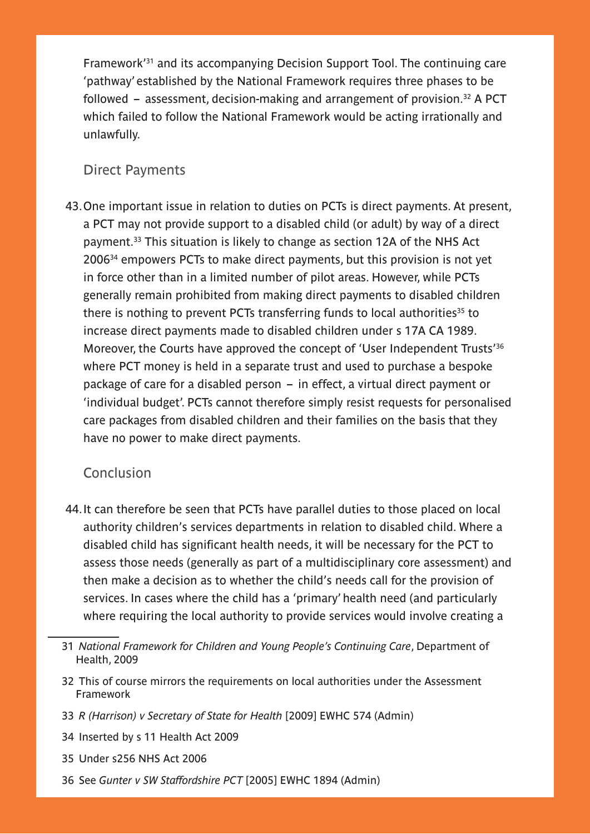Framework'31 and its accompanying Decision Support Tool. The continuing care 'pathway' established by the National Framework requires three phases to be followed – assessment, decision-making and arrangement of provision.32 A PCT which failed to follow the National Framework would be acting irrationally and unlawfully.

#### Direct Payments

43.One important issue in relation to duties on PCTs is direct payments. At present, a PCT may not provide support to a disabled child (or adult) by way of a direct payment.33 This situation is likely to change as section 12A of the NHS Act 200634 empowers PCTs to make direct payments, but this provision is not yet in force other than in a limited number of pilot areas. However, while PCTs generally remain prohibited from making direct payments to disabled children there is nothing to prevent PCTs transferring funds to local authorities<sup>35</sup> to increase direct payments made to disabled children under s 17A CA 1989. Moreover, the Courts have approved the concept of 'User Independent Trusts'36 where PCT money is held in a separate trust and used to purchase a bespoke package of care for a disabled person – in effect, a virtual direct payment or 'individual budget'. PCTs cannot therefore simply resist requests for personalised care packages from disabled children and their families on the basis that they have no power to make direct payments.

#### Conclusion

- 44.It can therefore be seen that PCTs have parallel duties to those placed on local authority children's services departments in relation to disabled child. Where a disabled child has significant health needs, it will be necessary for the PCT to assess those needs (generally as part of a multidisciplinary core assessment) and then make a decision as to whether the child's needs call for the provision of services. In cases where the child has a 'primary' health need (and particularly where requiring the local authority to provide services would involve creating a
- 31 *National Framework for Children and Young People's Continuing Care*, Department of Health, 2009
- 32 This of course mirrors the requirements on local authorities under the Assessment Framework
- 33 *R (Harrison) v Secretary of State for Health* [2009] EWHC 574 (Admin)
- 34 Inserted by s 11 Health Act 2009
- 35 Under s256 NHS Act 2006
- 36 See *Gunter v SW Staffordshire PCT* [2005] EWHC 1894 (Admin)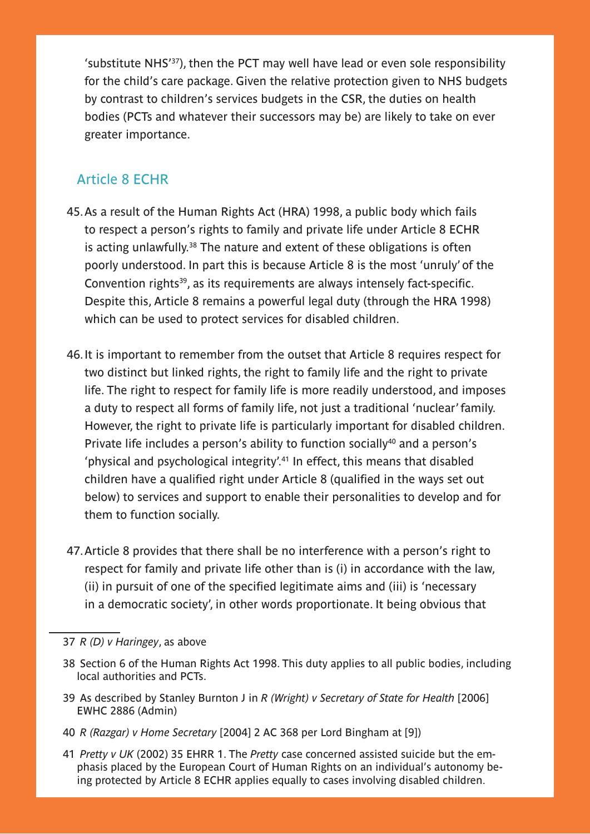'substitute NHS'37), then the PCT may well have lead or even sole responsibility for the child's care package. Given the relative protection given to NHS budgets by contrast to children's services budgets in the CSR, the duties on health bodies (PCTs and whatever their successors may be) are likely to take on ever greater importance.

## Article 8 ECHR

- 45.As a result of the Human Rights Act (HRA) 1998, a public body which fails to respect a person's rights to family and private life under Article 8 ECHR is acting unlawfully.<sup>38</sup> The nature and extent of these obligations is often poorly understood. In part this is because Article 8 is the most 'unruly' of the Convention rights<sup>39</sup>, as its requirements are always intensely fact-specific. Despite this, Article 8 remains a powerful legal duty (through the HRA 1998) which can be used to protect services for disabled children.
- 46.It is important to remember from the outset that Article 8 requires respect for two distinct but linked rights, the right to family life and the right to private life. The right to respect for family life is more readily understood, and imposes a duty to respect all forms of family life, not just a traditional 'nuclear' family. However, the right to private life is particularly important for disabled children. Private life includes a person's ability to function socially<sup>40</sup> and a person's 'physical and psychological integrity'.41 In effect, this means that disabled children have a qualified right under Article 8 (qualified in the ways set out below) to services and support to enable their personalities to develop and for them to function socially.
- 47.Article 8 provides that there shall be no interference with a person's right to respect for family and private life other than is (i) in accordance with the law, (ii) in pursuit of one of the specified legitimate aims and (iii) is 'necessary in a democratic society', in other words proportionate. It being obvious that

- 38 Section 6 of the Human Rights Act 1998. This duty applies to all public bodies, including local authorities and PCTs.
- 39 As described by Stanley Burnton J in *R (Wright) v Secretary of State for Health* [2006] EWHC 2886 (Admin)
- 40 *R (Razgar) v Home Secretary* [2004] 2 AC 368 per Lord Bingham at [9])
- 41 *Pretty v UK* (2002) 35 EHRR 1. The *Pretty* case concerned assisted suicide but the emphasis placed by the European Court of Human Rights on an individual's autonomy being protected by Article 8 ECHR applies equally to cases involving disabled children.

<sup>37</sup> *R (D) v Haringey*, as above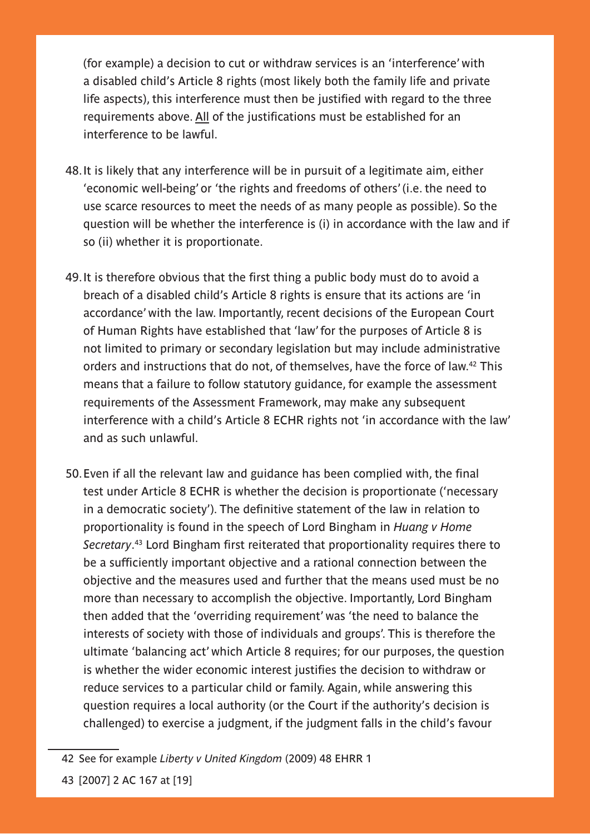(for example) a decision to cut or withdraw services is an 'interference' with a disabled child's Article 8 rights (most likely both the family life and private life aspects), this interference must then be justified with regard to the three requirements above. All of the justifications must be established for an interference to be lawful.

- 48.It is likely that any interference will be in pursuit of a legitimate aim, either 'economic well-being' or 'the rights and freedoms of others' (i.e. the need to use scarce resources to meet the needs of as many people as possible). So the question will be whether the interference is (i) in accordance with the law and if so (ii) whether it is proportionate.
- 49.It is therefore obvious that the first thing a public body must do to avoid a breach of a disabled child's Article 8 rights is ensure that its actions are 'in accordance' with the law. Importantly, recent decisions of the European Court of Human Rights have established that 'law' for the purposes of Article 8 is not limited to primary or secondary legislation but may include administrative orders and instructions that do not, of themselves, have the force of law.42 This means that a failure to follow statutory guidance, for example the assessment requirements of the Assessment Framework, may make any subsequent interference with a child's Article 8 ECHR rights not 'in accordance with the law' and as such unlawful.
- 50.Even if all the relevant law and guidance has been complied with, the final test under Article 8 ECHR is whether the decision is proportionate ('necessary in a democratic society'). The definitive statement of the law in relation to proportionality is found in the speech of Lord Bingham in *Huang v Home Secretary*. 43 Lord Bingham first reiterated that proportionality requires there to be a sufficiently important objective and a rational connection between the objective and the measures used and further that the means used must be no more than necessary to accomplish the objective. Importantly, Lord Bingham then added that the 'overriding requirement' was 'the need to balance the interests of society with those of individuals and groups'. This is therefore the ultimate 'balancing act' which Article 8 requires; for our purposes, the question is whether the wider economic interest justifies the decision to withdraw or reduce services to a particular child or family. Again, while answering this question requires a local authority (or the Court if the authority's decision is challenged) to exercise a judgment, if the judgment falls in the child's favour

<sup>42</sup> See for example *Liberty v United Kingdom* (2009) 48 EHRR 1

<sup>43 [2007] 2</sup> AC 167 at [19]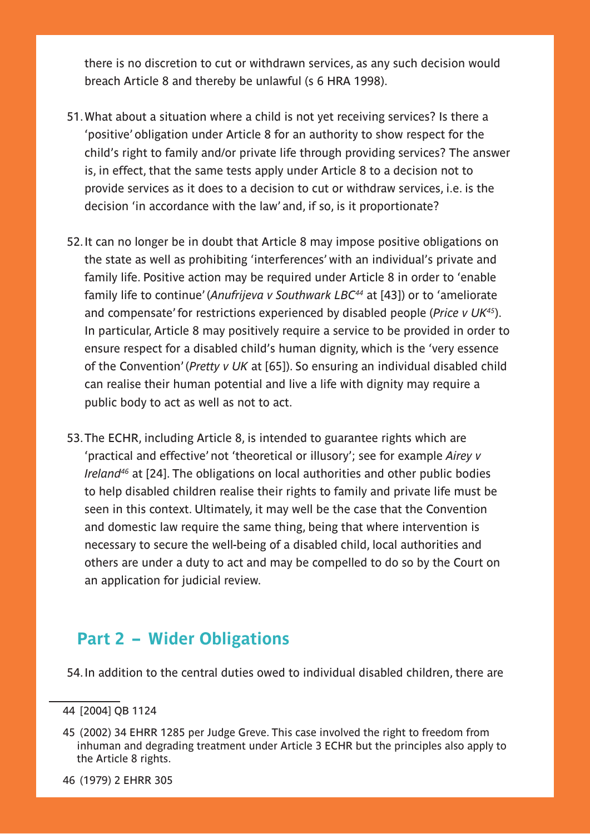there is no discretion to cut or withdrawn services, as any such decision would breach Article 8 and thereby be unlawful (s 6 HRA 1998).

- 51.What about a situation where a child is not yet receiving services? Is there a 'positive' obligation under Article 8 for an authority to show respect for the child's right to family and/or private life through providing services? The answer is, in effect, that the same tests apply under Article 8 to a decision not to provide services as it does to a decision to cut or withdraw services, i.e. is the decision 'in accordance with the law' and, if so, is it proportionate?
- 52.It can no longer be in doubt that Article 8 may impose positive obligations on the state as well as prohibiting 'interferences' with an individual's private and family life. Positive action may be required under Article 8 in order to 'enable family life to continue' (*Anufrijeva v Southwark LBC44* at [43]) or to 'ameliorate and compensate' for restrictions experienced by disabled people (*Price v UK45*). In particular, Article 8 may positively require a service to be provided in order to ensure respect for a disabled child's human dignity, which is the 'very essence of the Convention' (*Pretty v UK* at [65]). So ensuring an individual disabled child can realise their human potential and live a life with dignity may require a public body to act as well as not to act.
- 53.The ECHR, including Article 8, is intended to guarantee rights which are 'practical and effective' not 'theoretical or illusory'; see for example *Airey v Ireland46* at [24]. The obligations on local authorities and other public bodies to help disabled children realise their rights to family and private life must be seen in this context. Ultimately, it may well be the case that the Convention and domestic law require the same thing, being that where intervention is necessary to secure the well-being of a disabled child, local authorities and others are under a duty to act and may be compelled to do so by the Court on an application for judicial review.

# **Part 2 – Wider Obligations**

54.In addition to the central duties owed to individual disabled children, there are

- 45 (2002) 34 EHRR 1285 per Judge Greve. This case involved the right to freedom from inhuman and degrading treatment under Article 3 ECHR but the principles also apply to the Article 8 rights.
- 46 (1979) 2 EHRR 305

<sup>44 [2004]</sup> QB 1124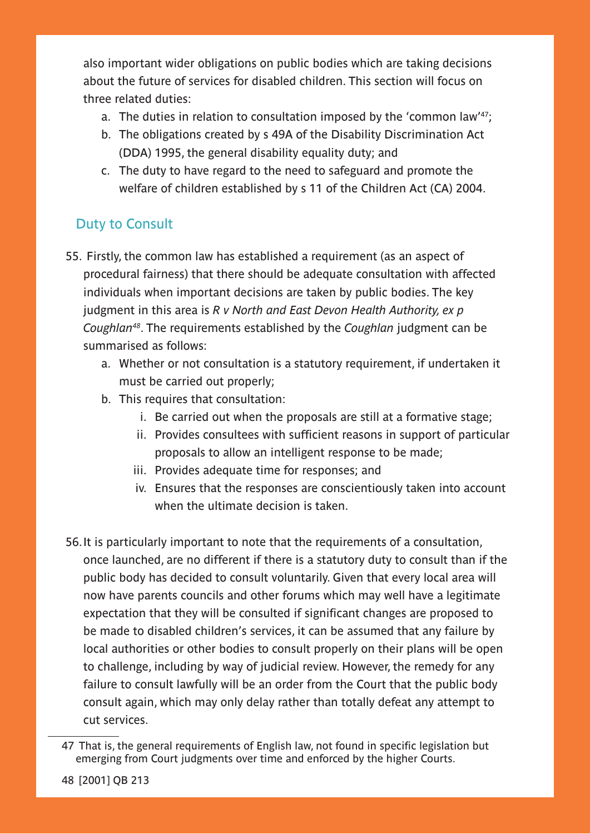also important wider obligations on public bodies which are taking decisions about the future of services for disabled children. This section will focus on three related duties:

- a. The duties in relation to consultation imposed by the 'common law'47;
- b. The obligations created by s 49A of the Disability Discrimination Act (DDA) 1995, the general disability equality duty; and
- c. The duty to have regard to the need to safeguard and promote the welfare of children established by s 11 of the Children Act (CA) 2004.

# Duty to Consult

- 55. Firstly, the common law has established a requirement (as an aspect of procedural fairness) that there should be adequate consultation with affected individuals when important decisions are taken by public bodies. The key judgment in this area is *R v North and East Devon Health Authority, ex p Coughlan48*. The requirements established by the *Coughlan* judgment can be summarised as follows:
	- a. Whether or not consultation is a statutory requirement, if undertaken it must be carried out properly;
	- b. This requires that consultation:
		- i. Be carried out when the proposals are still at a formative stage;
		- ii. Provides consultees with sufficient reasons in support of particular proposals to allow an intelligent response to be made;
		- iii. Provides adequate time for responses; and
		- iv. Ensures that the responses are conscientiously taken into account when the ultimate decision is taken.
- 56.It is particularly important to note that the requirements of a consultation, once launched, are no different if there is a statutory duty to consult than if the public body has decided to consult voluntarily. Given that every local area will now have parents councils and other forums which may well have a legitimate expectation that they will be consulted if significant changes are proposed to be made to disabled children's services, it can be assumed that any failure by local authorities or other bodies to consult properly on their plans will be open to challenge, including by way of judicial review. However, the remedy for any failure to consult lawfully will be an order from the Court that the public body consult again, which may only delay rather than totally defeat any attempt to cut services.

<sup>47</sup> That is, the general requirements of English law, not found in specific legislation but emerging from Court judgments over time and enforced by the higher Courts.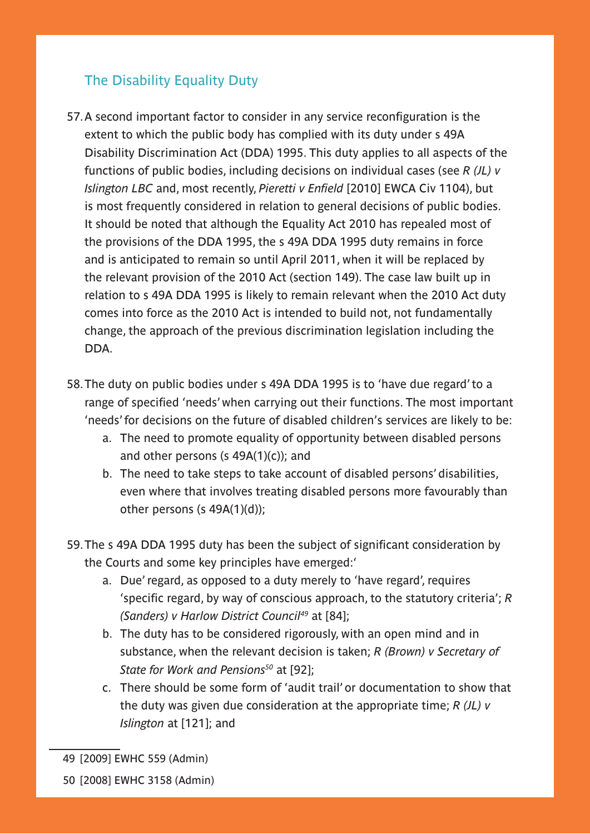## The Disability Equality Duty

- 57.A second important factor to consider in any service reconfiguration is the extent to which the public body has complied with its duty under s 49A Disability Discrimination Act (DDA) 1995. This duty applies to all aspects of the functions of public bodies, including decisions on individual cases (see *R (JL) v Islington LBC* and, most recently, *Pieretti v Enfield* [2010] EWCA Civ 1104), but is most frequently considered in relation to general decisions of public bodies. It should be noted that although the Equality Act 2010 has repealed most of the provisions of the DDA 1995, the s 49A DDA 1995 duty remains in force and is anticipated to remain so until April 2011, when it will be replaced by the relevant provision of the 2010 Act (section 149). The case law built up in relation to s 49A DDA 1995 is likely to remain relevant when the 2010 Act duty comes into force as the 2010 Act is intended to build not, not fundamentally change, the approach of the previous discrimination legislation including the DDA.
- 58.The duty on public bodies under s 49A DDA 1995 is to 'have due regard' to a range of specified 'needs' when carrying out their functions. The most important 'needs' for decisions on the future of disabled children's services are likely to be:
	- a. The need to promote equality of opportunity between disabled persons and other persons (s  $49A(1)(c)$ ); and
	- b. The need to take steps to take account of disabled persons' disabilities, even where that involves treating disabled persons more favourably than other persons (s 49A(1)(d));
- 59.The s 49A DDA 1995 duty has been the subject of significant consideration by the Courts and some key principles have emerged:'
	- a. Due' regard, as opposed to a duty merely to 'have regard', requires 'specific regard, by way of conscious approach, to the statutory criteria'; *R (Sanders) v Harlow District Council49* at [84];
	- b. The duty has to be considered rigorously, with an open mind and in substance, when the relevant decision is taken; *R (Brown) v Secretary of State for Work and Pensions50* at [92];
	- c. There should be some form of 'audit trail' or documentation to show that the duty was given due consideration at the appropriate time; *R (JL) v Islington* at [121]; and

<sup>49 [2009]</sup> EWHC 559 (Admin)

<sup>50 [2008]</sup> EWHC 3158 (Admin)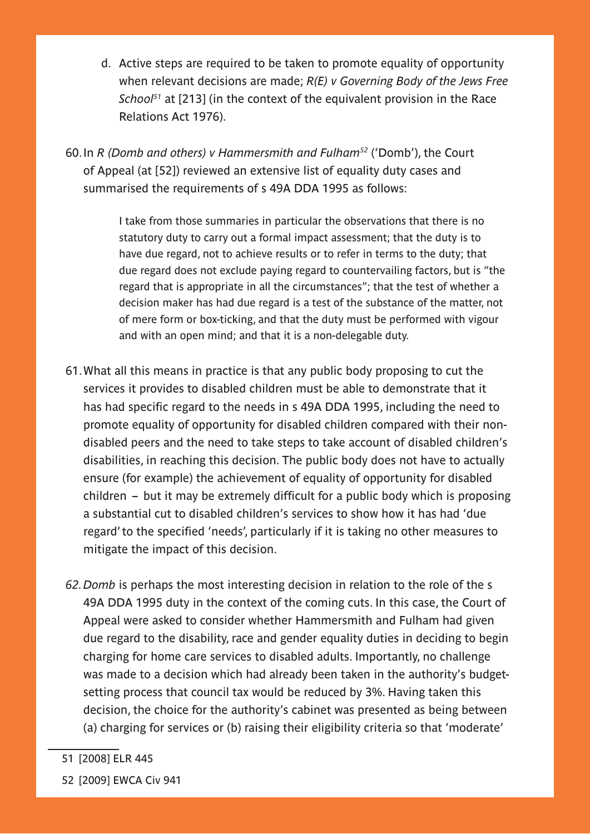d. Active steps are required to be taken to promote equality of opportunity when relevant decisions are made; *R(E) v Governing Body of the Jews Free School51* at [213] (in the context of the equivalent provision in the Race Relations Act 1976).

60.In *R (Domb and others) v Hammersmith and Fulham52* ('Domb'), the Court of Appeal (at [52]) reviewed an extensive list of equality duty cases and summarised the requirements of s 49A DDA 1995 as follows:

> I take from those summaries in particular the observations that there is no statutory duty to carry out a formal impact assessment; that the duty is to have due regard, not to achieve results or to refer in terms to the duty; that due regard does not exclude paying regard to countervailing factors, but is "the regard that is appropriate in all the circumstances"; that the test of whether a decision maker has had due regard is a test of the substance of the matter, not of mere form or box-ticking, and that the duty must be performed with vigour and with an open mind; and that it is a non-delegable duty.

- 61.What all this means in practice is that any public body proposing to cut the services it provides to disabled children must be able to demonstrate that it has had specific regard to the needs in s 49A DDA 1995, including the need to promote equality of opportunity for disabled children compared with their nondisabled peers and the need to take steps to take account of disabled children's disabilities, in reaching this decision. The public body does not have to actually ensure (for example) the achievement of equality of opportunity for disabled children – but it may be extremely difficult for a public body which is proposing a substantial cut to disabled children's services to show how it has had 'due regard' to the specified 'needs', particularly if it is taking no other measures to mitigate the impact of this decision.
- *62.Domb* is perhaps the most interesting decision in relation to the role of the s 49A DDA 1995 duty in the context of the coming cuts. In this case, the Court of Appeal were asked to consider whether Hammersmith and Fulham had given due regard to the disability, race and gender equality duties in deciding to begin charging for home care services to disabled adults. Importantly, no challenge was made to a decision which had already been taken in the authority's budgetsetting process that council tax would be reduced by 3%. Having taken this decision, the choice for the authority's cabinet was presented as being between (a) charging for services or (b) raising their eligibility criteria so that 'moderate'
- 51 [2008] ELR 445

<sup>52 [2009]</sup> EWCA Civ 941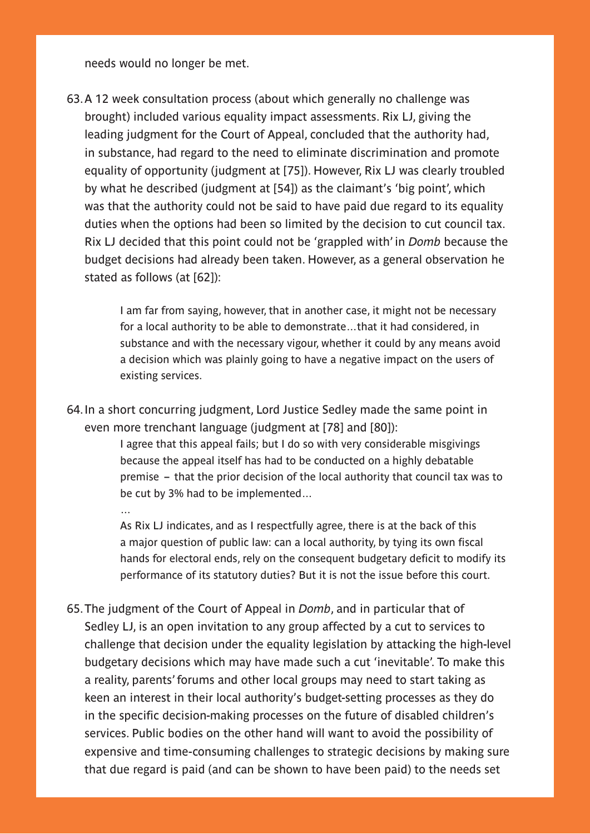needs would no longer be met.

63.A 12 week consultation process (about which generally no challenge was brought) included various equality impact assessments. Rix LJ, giving the leading judgment for the Court of Appeal, concluded that the authority had, in substance, had regard to the need to eliminate discrimination and promote equality of opportunity (judgment at [75]). However, Rix LJ was clearly troubled by what he described (judgment at [54]) as the claimant's 'big point', which was that the authority could not be said to have paid due regard to its equality duties when the options had been so limited by the decision to cut council tax. Rix LJ decided that this point could not be 'grappled with' in *Domb* because the budget decisions had already been taken. However, as a general observation he stated as follows (at [62]):

> I am far from saying, however, that in another case, it might not be necessary for a local authority to be able to demonstrate…that it had considered, in substance and with the necessary vigour, whether it could by any means avoid a decision which was plainly going to have a negative impact on the users of existing services.

64.In a short concurring judgment, Lord Justice Sedley made the same point in even more trenchant language (judgment at [78] and [80]):

> I agree that this appeal fails; but I do so with very considerable misgivings because the appeal itself has had to be conducted on a highly debatable premise – that the prior decision of the local authority that council tax was to be cut by 3% had to be implemented…

…

As Rix LJ indicates, and as I respectfully agree, there is at the back of this a major question of public law: can a local authority, by tying its own fiscal hands for electoral ends, rely on the consequent budgetary deficit to modify its performance of its statutory duties? But it is not the issue before this court.

65.The judgment of the Court of Appeal in *Domb*, and in particular that of Sedley LJ, is an open invitation to any group affected by a cut to services to challenge that decision under the equality legislation by attacking the high-level budgetary decisions which may have made such a cut 'inevitable'. To make this a reality, parents' forums and other local groups may need to start taking as keen an interest in their local authority's budget-setting processes as they do in the specific decision-making processes on the future of disabled children's services. Public bodies on the other hand will want to avoid the possibility of expensive and time-consuming challenges to strategic decisions by making sure that due regard is paid (and can be shown to have been paid) to the needs set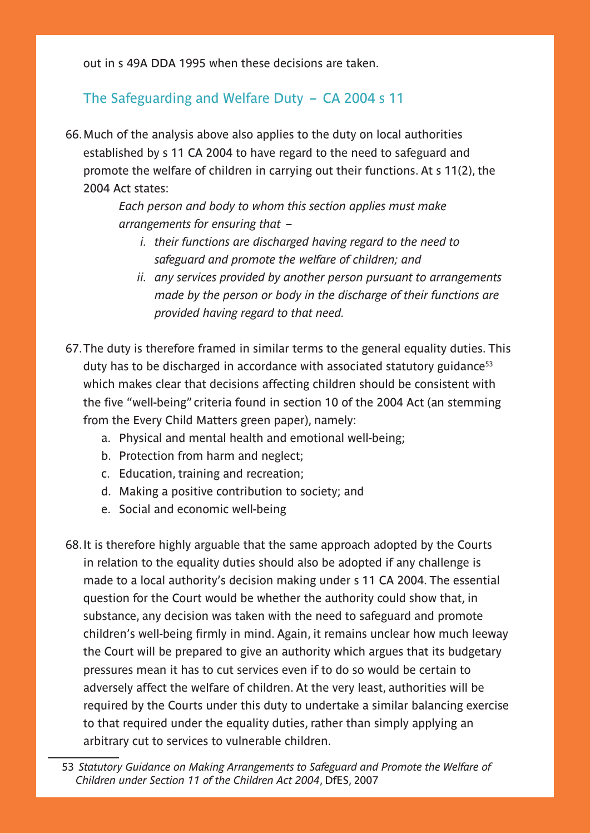out in s 49A DDA 1995 when these decisions are taken.

## The Safeguarding and Welfare Duty – CA 2004 s 11

66.Much of the analysis above also applies to the duty on local authorities established by s 11 CA 2004 to have regard to the need to safeguard and promote the welfare of children in carrying out their functions. At s 11(2), the 2004 Act states:

> *Each person and body to whom this section applies must make arrangements for ensuring that –*

- *i. their functions are discharged having regard to the need to safeguard and promote the welfare of children; and*
- *ii. any services provided by another person pursuant to arrangements made by the person or body in the discharge of their functions are provided having regard to that need.*
- 67.The duty is therefore framed in similar terms to the general equality duties. This duty has to be discharged in accordance with associated statutory guidance<sup>53</sup> which makes clear that decisions affecting children should be consistent with the five "well-being" criteria found in section 10 of the 2004 Act (an stemming from the Every Child Matters green paper), namely:
	- a. Physical and mental health and emotional well-being;
	- b. Protection from harm and neglect;
	- c. Education, training and recreation;
	- d. Making a positive contribution to society; and
	- e. Social and economic well-being
- 68.It is therefore highly arguable that the same approach adopted by the Courts in relation to the equality duties should also be adopted if any challenge is made to a local authority's decision making under s 11 CA 2004. The essential question for the Court would be whether the authority could show that, in substance, any decision was taken with the need to safeguard and promote children's well-being firmly in mind. Again, it remains unclear how much leeway the Court will be prepared to give an authority which argues that its budgetary pressures mean it has to cut services even if to do so would be certain to adversely affect the welfare of children. At the very least, authorities will be required by the Courts under this duty to undertake a similar balancing exercise to that required under the equality duties, rather than simply applying an arbitrary cut to services to vulnerable children.

<sup>53</sup> *Statutory Guidance on Making Arrangements to Safeguard and Promote the Welfare of Children under Section 11 of the Children Act 2004*, DfES, 2007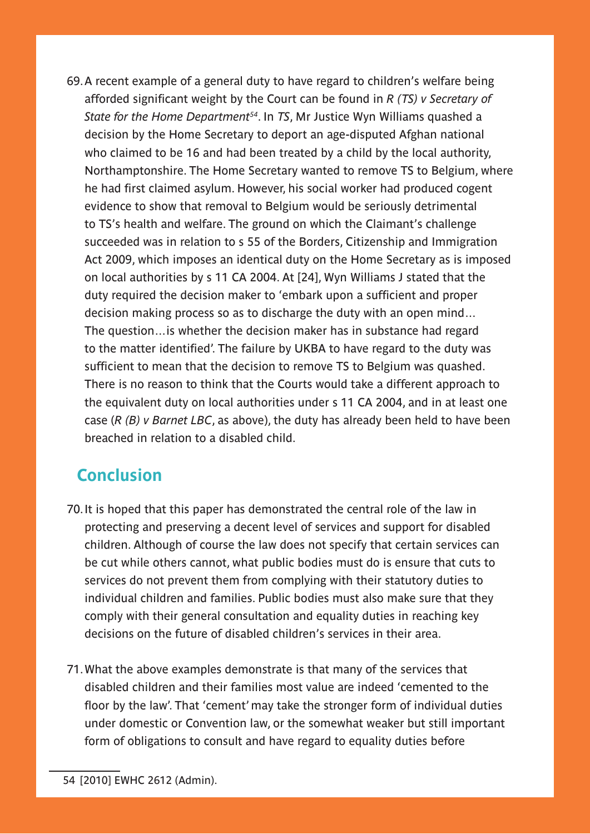69.A recent example of a general duty to have regard to children's welfare being afforded significant weight by the Court can be found in *R (TS) v Secretary of State for the Home Department54*. In *TS*, Mr Justice Wyn Williams quashed a decision by the Home Secretary to deport an age-disputed Afghan national who claimed to be 16 and had been treated by a child by the local authority, Northamptonshire. The Home Secretary wanted to remove TS to Belgium, where he had first claimed asylum. However, his social worker had produced cogent evidence to show that removal to Belgium would be seriously detrimental to TS's health and welfare. The ground on which the Claimant's challenge succeeded was in relation to s 55 of the Borders, Citizenship and Immigration Act 2009, which imposes an identical duty on the Home Secretary as is imposed on local authorities by s 11 CA 2004. At [24], Wyn Williams J stated that the duty required the decision maker to 'embark upon a sufficient and proper decision making process so as to discharge the duty with an open mind… The question…is whether the decision maker has in substance had regard to the matter identified'. The failure by UKBA to have regard to the duty was sufficient to mean that the decision to remove TS to Belgium was quashed. There is no reason to think that the Courts would take a different approach to the equivalent duty on local authorities under s 11 CA 2004, and in at least one case (*R (B) v Barnet LBC*, as above), the duty has already been held to have been breached in relation to a disabled child.

# **Conclusion**

- 70.It is hoped that this paper has demonstrated the central role of the law in protecting and preserving a decent level of services and support for disabled children. Although of course the law does not specify that certain services can be cut while others cannot, what public bodies must do is ensure that cuts to services do not prevent them from complying with their statutory duties to individual children and families. Public bodies must also make sure that they comply with their general consultation and equality duties in reaching key decisions on the future of disabled children's services in their area.
- 71.What the above examples demonstrate is that many of the services that disabled children and their families most value are indeed 'cemented to the floor by the law'. That 'cement' may take the stronger form of individual duties under domestic or Convention law, or the somewhat weaker but still important form of obligations to consult and have regard to equality duties before

<sup>54 [2010]</sup> EWHC 2612 (Admin).